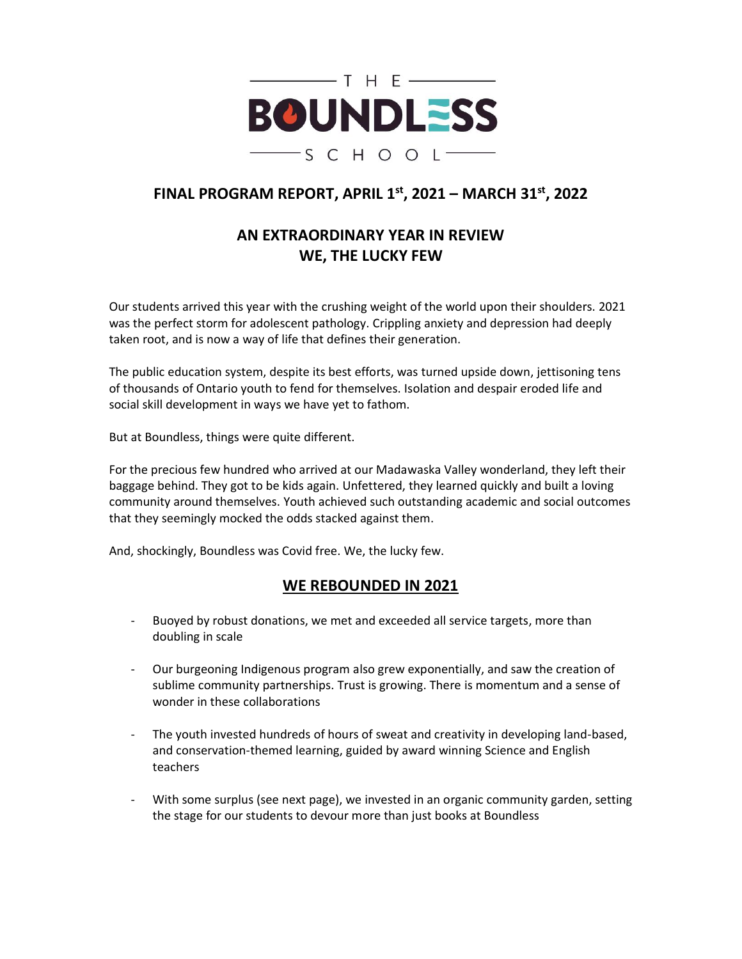

# **FINAL PROGRAM REPORT, APRIL 1st, 2021 – MARCH 31st, 2022**

# **AN EXTRAORDINARY YEAR IN REVIEW WE, THE LUCKY FEW**

Our students arrived this year with the crushing weight of the world upon their shoulders. 2021 was the perfect storm for adolescent pathology. Crippling anxiety and depression had deeply taken root, and is now a way of life that defines their generation.

The public education system, despite its best efforts, was turned upside down, jettisoning tens of thousands of Ontario youth to fend for themselves. Isolation and despair eroded life and social skill development in ways we have yet to fathom.

But at Boundless, things were quite different.

For the precious few hundred who arrived at our Madawaska Valley wonderland, they left their baggage behind. They got to be kids again. Unfettered, they learned quickly and built a loving community around themselves. Youth achieved such outstanding academic and social outcomes that they seemingly mocked the odds stacked against them.

And, shockingly, Boundless was Covid free. We, the lucky few.

#### **WE REBOUNDED IN 2021**

- Buoyed by robust donations, we met and exceeded all service targets, more than doubling in scale
- Our burgeoning Indigenous program also grew exponentially, and saw the creation of sublime community partnerships. Trust is growing. There is momentum and a sense of wonder in these collaborations
- The youth invested hundreds of hours of sweat and creativity in developing land-based, and conservation-themed learning, guided by award winning Science and English teachers
- With some surplus (see next page), we invested in an organic community garden, setting the stage for our students to devour more than just books at Boundless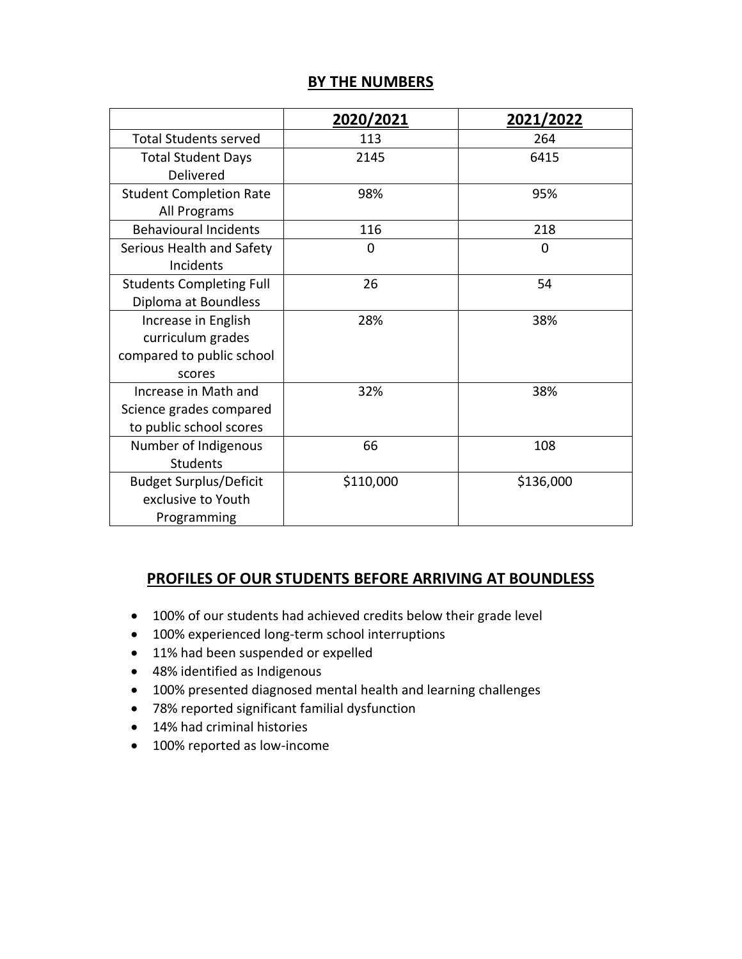# **BY THE NUMBERS**

|                                                                                 | 2020/2021 | 2021/2022 |
|---------------------------------------------------------------------------------|-----------|-----------|
| <b>Total Students served</b>                                                    | 113       | 264       |
| <b>Total Student Days</b><br>Delivered                                          | 2145      | 6415      |
| <b>Student Completion Rate</b><br>All Programs                                  | 98%       | 95%       |
| <b>Behavioural Incidents</b>                                                    | 116       | 218       |
| Serious Health and Safety<br>Incidents                                          | $\Omega$  | 0         |
| <b>Students Completing Full</b><br>Diploma at Boundless                         | 26        | 54        |
| Increase in English<br>curriculum grades<br>compared to public school<br>scores | 28%       | 38%       |
| Increase in Math and<br>Science grades compared<br>to public school scores      | 32%       | 38%       |
| Number of Indigenous<br><b>Students</b>                                         | 66        | 108       |
| <b>Budget Surplus/Deficit</b><br>exclusive to Youth<br>Programming              | \$110,000 | \$136,000 |

#### **PROFILES OF OUR STUDENTS BEFORE ARRIVING AT BOUNDLESS**

- 100% of our students had achieved credits below their grade level
- 100% experienced long-term school interruptions
- 11% had been suspended or expelled
- 48% identified as Indigenous
- 100% presented diagnosed mental health and learning challenges
- 78% reported significant familial dysfunction
- 14% had criminal histories
- 100% reported as low-income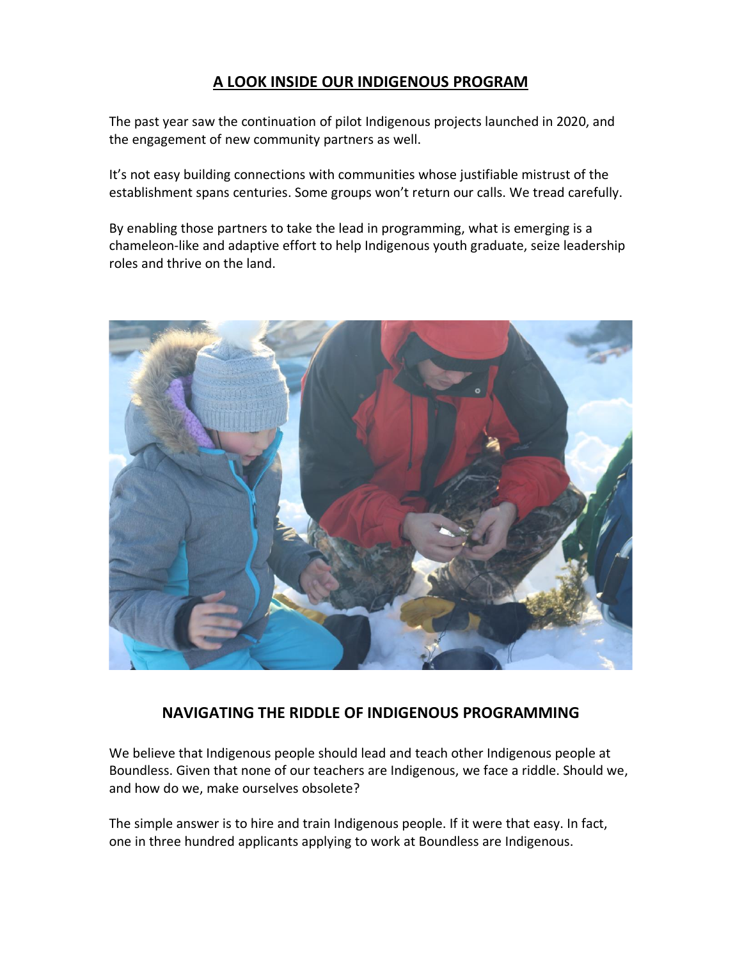# **A LOOK INSIDE OUR INDIGENOUS PROGRAM**

The past year saw the continuation of pilot Indigenous projects launched in 2020, and the engagement of new community partners as well.

It's not easy building connections with communities whose justifiable mistrust of the establishment spans centuries. Some groups won't return our calls. We tread carefully.

By enabling those partners to take the lead in programming, what is emerging is a chameleon-like and adaptive effort to help Indigenous youth graduate, seize leadership roles and thrive on the land.



# **NAVIGATING THE RIDDLE OF INDIGENOUS PROGRAMMING**

We believe that Indigenous people should lead and teach other Indigenous people at Boundless. Given that none of our teachers are Indigenous, we face a riddle. Should we, and how do we, make ourselves obsolete?

The simple answer is to hire and train Indigenous people. If it were that easy. In fact, one in three hundred applicants applying to work at Boundless are Indigenous.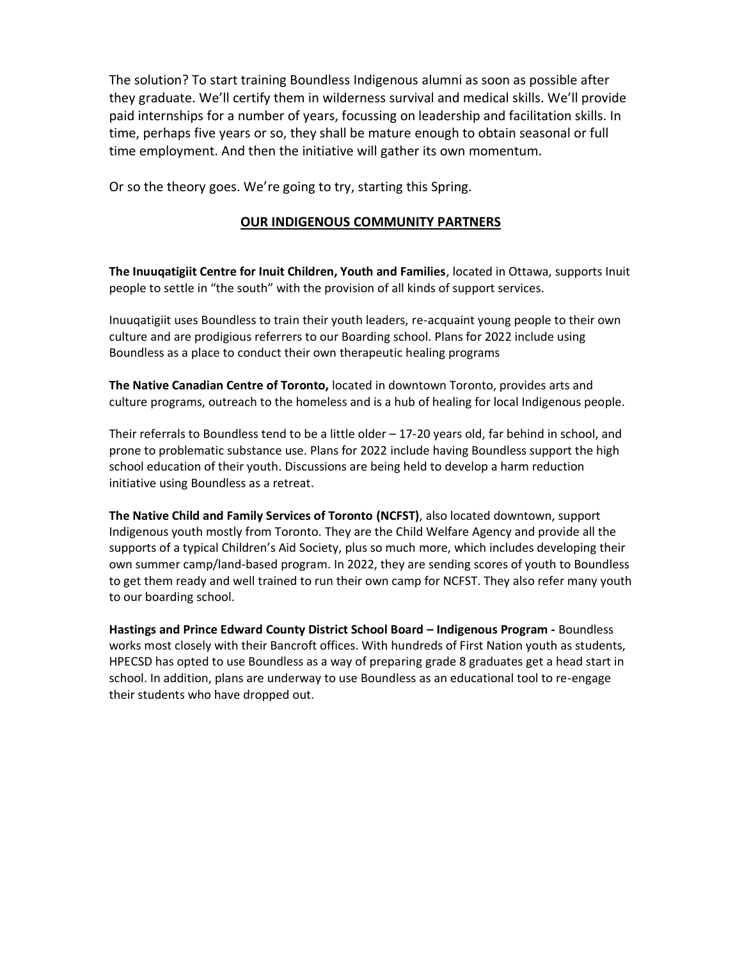The solution? To start training Boundless Indigenous alumni as soon as possible after they graduate. We'll certify them in wilderness survival and medical skills. We'll provide paid internships for a number of years, focussing on leadership and facilitation skills. In time, perhaps five years or so, they shall be mature enough to obtain seasonal or full time employment. And then the initiative will gather its own momentum.

Or so the theory goes. We're going to try, starting this Spring.

#### **OUR INDIGENOUS COMMUNITY PARTNERS**

**The Inuuqatigiit Centre for Inuit Children, Youth and Families**, located in Ottawa, supports Inuit people to settle in "the south" with the provision of all kinds of support services.

Inuuqatigiit uses Boundless to train their youth leaders, re-acquaint young people to their own culture and are prodigious referrers to our Boarding school. Plans for 2022 include using Boundless as a place to conduct their own therapeutic healing programs

**The Native Canadian Centre of Toronto,** located in downtown Toronto, provides arts and culture programs, outreach to the homeless and is a hub of healing for local Indigenous people.

Their referrals to Boundless tend to be a little older – 17-20 years old, far behind in school, and prone to problematic substance use. Plans for 2022 include having Boundless support the high school education of their youth. Discussions are being held to develop a harm reduction initiative using Boundless as a retreat.

**The Native Child and Family Services of Toronto (NCFST)**, also located downtown, support Indigenous youth mostly from Toronto. They are the Child Welfare Agency and provide all the supports of a typical Children's Aid Society, plus so much more, which includes developing their own summer camp/land-based program. In 2022, they are sending scores of youth to Boundless to get them ready and well trained to run their own camp for NCFST. They also refer many youth to our boarding school.

**Hastings and Prince Edward County District School Board – Indigenous Program -** Boundless works most closely with their Bancroft offices. With hundreds of First Nation youth as students, HPECSD has opted to use Boundless as a way of preparing grade 8 graduates get a head start in school. In addition, plans are underway to use Boundless as an educational tool to re-engage their students who have dropped out.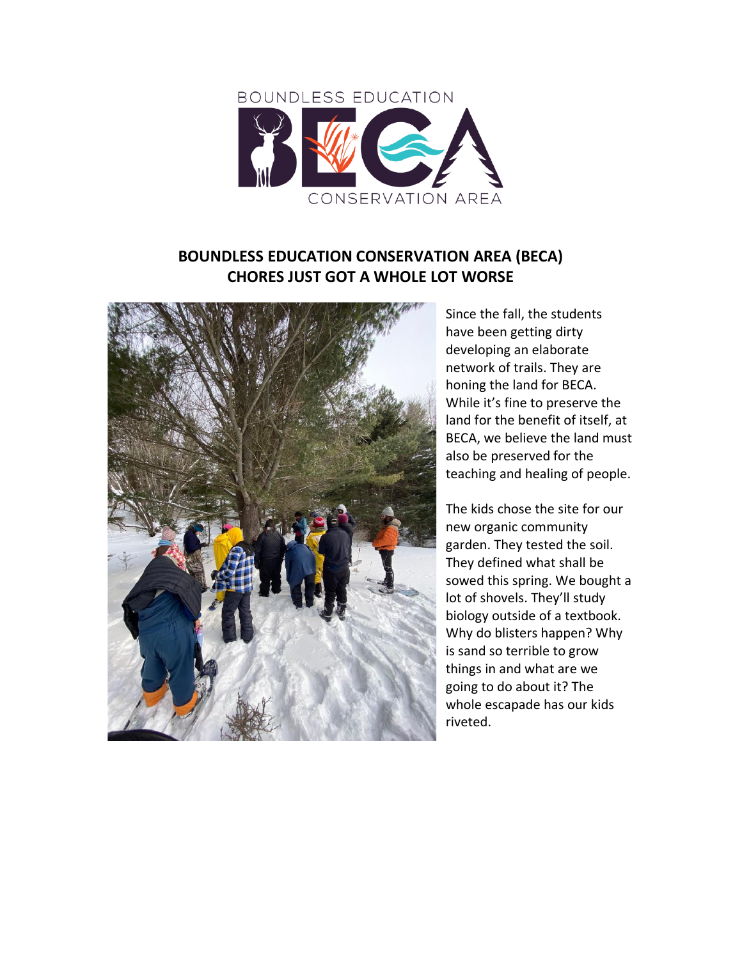

# **BOUNDLESS EDUCATION CONSERVATION AREA (BECA) CHORES JUST GOT A WHOLE LOT WORSE**



Since the fall, the students have been getting dirty developing an elaborate network of trails. They are honing the land for BECA. While it's fine to preserve the land for the benefit of itself, at BECA, we believe the land must also be preserved for the teaching and healing of people.

The kids chose the site for our new organic community garden. They tested the soil. They defined what shall be sowed this spring. We bought a lot of shovels. They'll study biology outside of a textbook. Why do blisters happen? Why is sand so terrible to grow things in and what are we going to do about it? The whole escapade has our kids riveted.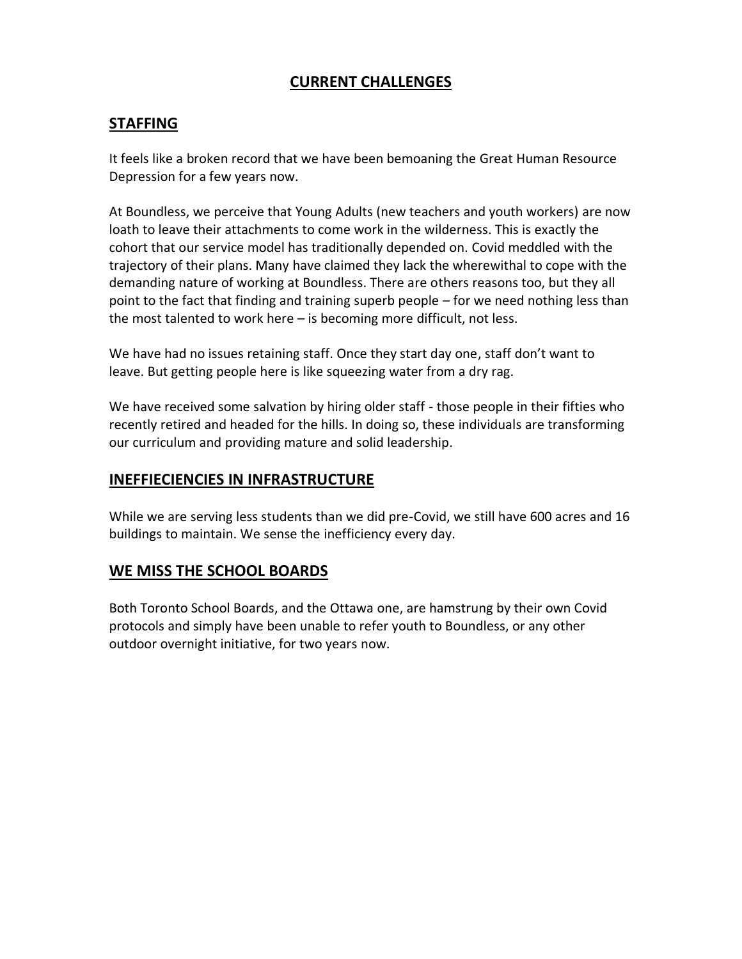# **CURRENT CHALLENGES**

### **STAFFING**

It feels like a broken record that we have been bemoaning the Great Human Resource Depression for a few years now.

At Boundless, we perceive that Young Adults (new teachers and youth workers) are now loath to leave their attachments to come work in the wilderness. This is exactly the cohort that our service model has traditionally depended on. Covid meddled with the trajectory of their plans. Many have claimed they lack the wherewithal to cope with the demanding nature of working at Boundless. There are others reasons too, but they all point to the fact that finding and training superb people – for we need nothing less than the most talented to work here – is becoming more difficult, not less.

We have had no issues retaining staff. Once they start day one, staff don't want to leave. But getting people here is like squeezing water from a dry rag.

We have received some salvation by hiring older staff - those people in their fifties who recently retired and headed for the hills. In doing so, these individuals are transforming our curriculum and providing mature and solid leadership.

### **INEFFIECIENCIES IN INFRASTRUCTURE**

While we are serving less students than we did pre-Covid, we still have 600 acres and 16 buildings to maintain. We sense the inefficiency every day.

### **WE MISS THE SCHOOL BOARDS**

Both Toronto School Boards, and the Ottawa one, are hamstrung by their own Covid protocols and simply have been unable to refer youth to Boundless, or any other outdoor overnight initiative, for two years now.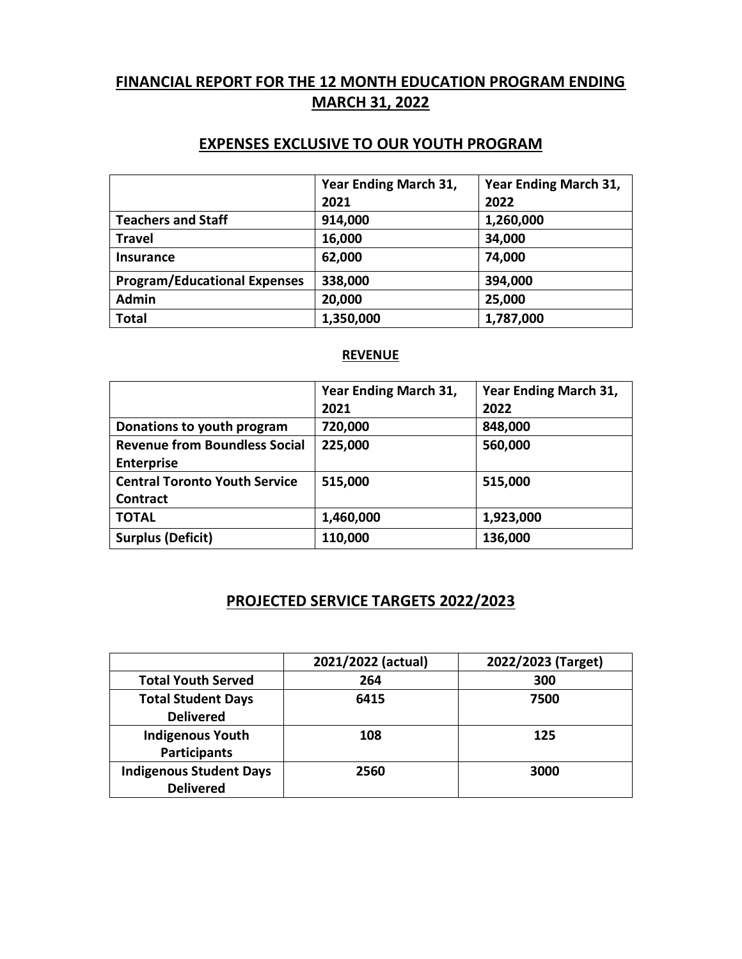# **FINANCIAL REPORT FOR THE 12 MONTH EDUCATION PROGRAM ENDING MARCH 31, 2022**

# **EXPENSES EXCLUSIVE TO OUR YOUTH PROGRAM**

|                                     | Year Ending March 31,<br>2021 | Year Ending March 31,<br>2022 |
|-------------------------------------|-------------------------------|-------------------------------|
| <b>Teachers and Staff</b>           | 914,000                       | 1,260,000                     |
| <b>Travel</b>                       | 16,000                        | 34,000                        |
| Insurance                           | 62,000                        | 74,000                        |
| <b>Program/Educational Expenses</b> | 338,000                       | 394,000                       |
| <b>Admin</b>                        | 20,000                        | 25,000                        |
| <b>Total</b>                        | 1,350,000                     | 1,787,000                     |

#### **REVENUE**

|                                      | <b>Year Ending March 31,</b> | Year Ending March 31, |
|--------------------------------------|------------------------------|-----------------------|
|                                      | 2021                         | 2022                  |
| Donations to youth program           | 720,000                      | 848,000               |
| <b>Revenue from Boundless Social</b> | 225,000                      | 560,000               |
| <b>Enterprise</b>                    |                              |                       |
| <b>Central Toronto Youth Service</b> | 515,000                      | 515,000               |
| Contract                             |                              |                       |
| <b>TOTAL</b>                         | 1,460,000                    | 1,923,000             |
| <b>Surplus (Deficit)</b>             | 110,000                      | 136,000               |

# **PROJECTED SERVICE TARGETS 2022/2023**

|                                | 2021/2022 (actual) | 2022/2023 (Target) |
|--------------------------------|--------------------|--------------------|
| <b>Total Youth Served</b>      | 264                | 300                |
| <b>Total Student Days</b>      | 6415               | 7500               |
| <b>Delivered</b>               |                    |                    |
| <b>Indigenous Youth</b>        | 108                | 125                |
| <b>Participants</b>            |                    |                    |
| <b>Indigenous Student Days</b> | 2560               | 3000               |
| <b>Delivered</b>               |                    |                    |